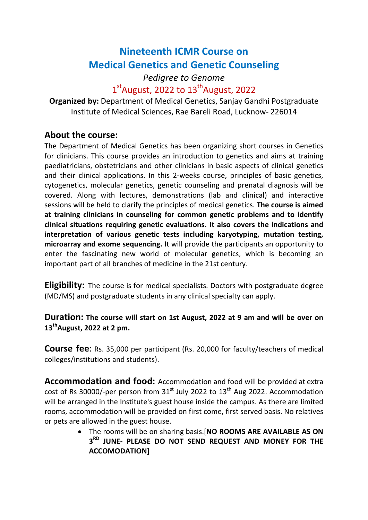# Nineteenth ICMR Course on Medical Genetics and Genetic Counseling

### Pedigree to Genome 1<sup>st</sup>August, 2022 to 13<sup>th</sup>August, 2022

Organized by: Department of Medical Genetics, Sanjay Gandhi Postgraduate Institute of Medical Sciences, Rae Bareli Road, Lucknow- 226014

### About the course:

The Department of Medical Genetics has been organizing short courses in Genetics for clinicians. This course provides an introduction to genetics and aims at training paediatricians, obstetricians and other clinicians in basic aspects of clinical genetics and their clinical applications. In this 2-weeks course, principles of basic genetics, cytogenetics, molecular genetics, genetic counseling and prenatal diagnosis will be covered. Along with lectures, demonstrations (lab and clinical) and interactive sessions will be held to clarify the principles of medical genetics. The course is aimed at training clinicians in counseling for common genetic problems and to identify clinical situations requiring genetic evaluations. It also covers the indications and interpretation of various genetic tests including karyotyping, mutation testing, microarray and exome sequencing. It will provide the participants an opportunity to enter the fascinating new world of molecular genetics, which is becoming an important part of all branches of medicine in the 21st century.

**Eligibility:** The course is for medical specialists. Doctors with postgraduate degree (MD/MS) and postgraduate students in any clinical specialty can apply.

Duration: The course will start on 1st August, 2022 at 9 am and will be over on  $13<sup>th</sup>$ August, 2022 at 2 pm.

Course fee: Rs. 35,000 per participant (Rs. 20,000 for faculty/teachers of medical colleges/institutions and students).

Accommodation and food: Accommodation and food will be provided at extra cost of Rs 30000/-per person from  $31<sup>st</sup>$  July 2022 to  $13<sup>th</sup>$  Aug 2022. Accommodation will be arranged in the Institute's guest house inside the campus. As there are limited rooms, accommodation will be provided on first come, first served basis. No relatives or pets are allowed in the guest house.

> The rooms will be on sharing basis.[NO ROOMS ARE AVAILABLE AS ON 3<sup>RD</sup> JUNE- PLEASE DO NOT SEND REQUEST AND MONEY FOR THE ACCOMODATION]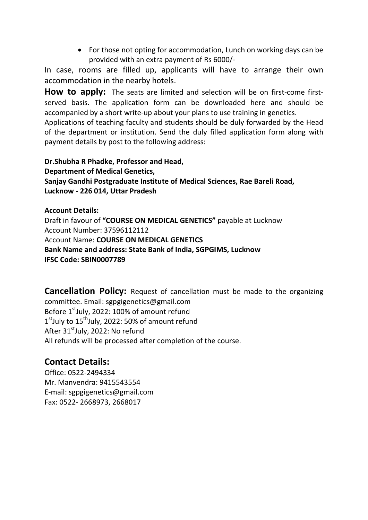• For those not opting for accommodation, Lunch on working days can be provided with an extra payment of Rs 6000/-

In case, rooms are filled up, applicants will have to arrange their own accommodation in the nearby hotels.

How to apply: The seats are limited and selection will be on first-come firstserved basis. The application form can be downloaded here and should be accompanied by a short write-up about your plans to use training in genetics.

Applications of teaching faculty and students should be duly forwarded by the Head of the department or institution. Send the duly filled application form along with payment details by post to the following address:

Dr.Shubha R Phadke, Professor and Head, Department of Medical Genetics, Sanjay Gandhi Postgraduate Institute of Medical Sciences, Rae Bareli Road, Lucknow - 226 014, Uttar Pradesh

Account Details: Draft in favour of "COURSE ON MEDICAL GENETICS" payable at Lucknow Account Number: 37596112112 Account Name: COURSE ON MEDICAL GENETICS Bank Name and address: State Bank of India, SGPGIMS, Lucknow IFSC Code: SBIN0007789

**Cancellation Policy:** Request of cancellation must be made to the organizing committee. Email: sgpgigenetics@gmail.com Before  $1^{\text{st}}$ July, 2022: 100% of amount refund 1<sup>st</sup>July to 15<sup>th</sup>July, 2022: 50% of amount refund After 31<sup>st</sup>July, 2022: No refund All refunds will be processed after completion of the course.

### Contact Details:

Office: 0522-2494334 Mr. Manvendra: 9415543554 E-mail: sgpgigenetics@gmail.com Fax: 0522- 2668973, 2668017